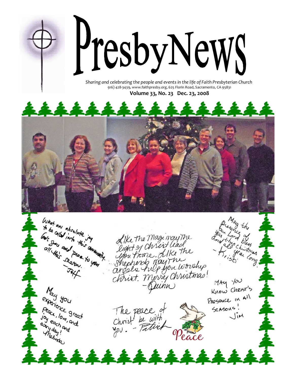

916) 428-3439, www.faithpresby.org, 625 Florin Road, Sacramento, CA 95831

Volume 33, No. 23 Dec. 23, 2008



What any absolute in the line of the content of the Community. Like the Magi may The<br>Light of Christ lead<br>you home. Like the antmas you tiome. Alke the<br>Shephends may the<br>christ. Merry Christmas!<br>Christ. Merry Christmas!  $M$ Ay  $\frac{1}{2}$ May gou Know Cherst's experience great Presence in All The peace of<br>Christ be with Peace, love great<br>Joy each and Sersons! Joy each and  $\overline{\phantom{a}}$ lim eury day! wy day! an Peace 222222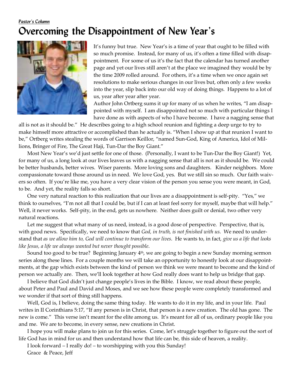### Pastor's Column Overcoming the Disappointment of New Year's



It's funny but true. New Year's is a time of year that ought to be filled with so much promise. Instead, for many of us, it's often a time filled with disappointment. For some of us it's the fact that the calendar has turned another page and yet our lives still aren't at the place we imagined they would be by the time 2009 rolled around. For others, it's a time when we once again set resolutions to make serious changes in our lives but, often only a few weeks into the year, slip back into our old way of doing things. Happens to a lot of us, year after year after year.

Author John Ortberg sums it up for many of us when he writes, "I am disappointed with myself. I am disappointed not so much with particular things I have done as with aspects of who I have become. I have a nagging sense that

all is not as it should be." He describes going to a high school reunion and fighting a deep urge to try to make himself more attractive or accomplished than he actually is. "When I show up at that reunion I want to be," Ortberg writes stealing the words of Garrison Keillor, "named Sun-God, King of America, Idol of Millions, Bringer of Fire, The Great Haji, Tun-Dar the Boy Giant."

Most New Year's we'd just settle for one of those. (Personally, I want to be Tun-Dar the Boy Giant!) Yet, for many of us, a long look at our lives leaves us with a nagging sense that all is not as it should be. We could be better husbands, better wives. Wiser parents. More loving sons and daughters. Kinder neighbors. More compassionate toward those around us in need. We love God, yes. But we still sin so much. Our faith waivers so often. If you're like me, you have a very clear vision of the person you sense you were meant, in God, to be. And yet, the reality falls so short.

One very natural reaction to this realization that our lives are a disappointment is self-pity. "Yes," we think to ourselves, "I'm not all that I could be, but if I can at least feel sorry for myself, maybe that will help." Well, it never works. Self-pity, in the end, gets us nowhere. Neither does guilt or denial, two other very natural reactions.

Let me suggest that what many of us need, instead, is a good dose of perspective. Perspective, that is, with good news. Specifically, we need to know that God, in truth, is not finished with us. We need to understand that as we allow him to, God will continue to transform our lives. He wants to, in fact, give us a life that looks like Jesus, a life we always wanted but never thought possible.

Sound too good to be true? Beginning January 4<sup>th</sup>, we are going to begin a new Sunday morning sermon series along these lines. For a couple months we will take an opportunity to honestly look at our disappointments, at the gap which exists between the kind of person we think we were meant to become and the kind of person we actually are. Then, we'll look together at how God really does want to help us bridge that gap.

I believe that God didn't just change people's lives in the Bible. I know, we read about these people, about Peter and Paul and David and Moses, and we see how these people were completely transformed and we wonder if that sort of thing still happens.

Well, God is, I believe, doing the same thing today. He wants to do it in my life, and in your life. Paul writes in II Corinthians 5:17, "If any person is in Christ, that person is a new creation. The old has gone. The new is come." This verse isn't meant for the elite among us. It's meant for all of us, ordinary people like you and me. We are to become, in every sense, new creations in Christ.

I hope you will make plans to join us for this series. Come, let's struggle together to figure out the sort of life God has in mind for us and then understand how that life can be, this side of heaven, a reality.

I look forward – I really do! – to worshipping with you this Sunday!

Grace & Peace, Jeff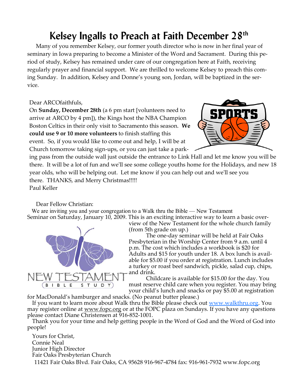## Kelsey Ingalls to Preach at Faith December 28<sup>th</sup>

Many of you remember Kelsey, our former youth director who is now in her final year of seminary in Iowa preparing to become a Minister of the Word and Sacrament. During this period of study, Kelsey has remained under care of our congregation here at Faith, receiving regularly prayer and financial support. We are thrilled to welcome Kelsey to preach this coming Sunday. In addition, Kelsey and Donne's young son, Jordan, will be baptized in the service.

#### Dear ARCOfaithfuls,

On Sunday, December 28th (a 6 pm start [volunteers need to arrive at ARCO by 4 pm]), the Kings host the NBA Champion Boston Celtics in their only visit to Sacramento this season. We could use 9 or 10 more volunteers to finish staffing this event. So, if you would like to come out and help, I will be at Church tomorrow taking sign-ups, or you can just take a park-



ing pass from the outside wall just outside the entrance to Link Hall and let me know you will be there. It will be a lot of fun and we'll see some college youths home for the Holidays, and new 18 year olds, who will be helping out. Let me know if you can help out and we'll see you there. THANKS, and Merry Christmas!!!!! Paul Keller

Dear Fellow Christian:

We are inviting you and your congregation to a Walk thru the Bible — New Testament Seminar on Saturday, January 10, 2009. This is an exciting interactive way to learn a basic over-



view of the New Testament for the whole church family (from 5th grade on up.)

 The one-day seminar will be held at Fair Oaks Presbyterian in the Worship Center from 9 a.m. until 4 p.m. The cost which includes a workbook is \$20 for Adults and \$15 for youth under 18. A box lunch is available for \$5.00 if you order at registration. Lunch includes a turkey or roast beef sandwich, pickle, salad cup, chips, and drink.

 Childcare is available for \$15.00 for the day. You must reserve child care when you register. You may bring your child's lunch and snacks or pay \$5.00 at registration

for MacDonald's hamburger and snacks. (No peanut butter please.)

If you want to learn more about Walk thru the Bible please check out <u>www.walkthru.org</u>. You may register online at www.fopc.org or at the FOPC plaza on Sundays. If you have any questions please contact Diane Christensen at 916-852-1001.

 Thank you for your time and help getting people in the Word of God and the Word of God into people!

 Yours for Christ, Connie Neal Junior High Director Fair Oaks Presbyterian Church 11421 Fair Oaks Blvd. Fair Oaks, CA 95628 916-967-4784 fax: 916-961-7932 www.fopc.org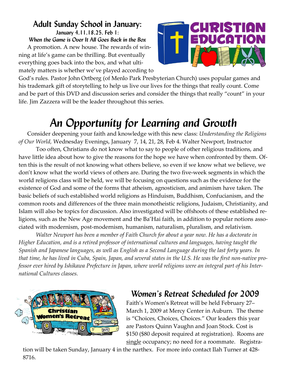### Adult Sunday School in January:

January 4,11,18,25, Feb 1:

When the Game is Over It All Goes Back in the Box A promotion. A new house. The rewards of winning at life's game can be thrilling. But eventually everything goes back into the box, and what ultimately matters is whether we've played according to



God's rules. Pastor John Ortberg (of Menlo Park Presbyterian Church) uses popular games and his trademark gift of storytelling to help us live our lives for the things that really count. Come and be part of this DVD and discussion series and consider the things that really "count" in your life. Jim Zazzera will be the leader throughout this series.

# An Opportunity for Learning and Growth

Consider deepening your faith and knowledge with this new class: Understanding the Religions of Our World, Wednesday Evenings, January 7, 14, 21, 28, Feb 4. Walter Newport, Instructor

 Too often, Christians do not know what to say to people of other religious traditions, and have little idea about how to give the reasons for the hope we have when confronted by them. Often this is the result of not knowing what others believe, so even if we know what we believe, we don't know what the world views of others are. During the two five-week segments in which the world religions class will be held, we will be focusing on questions such as the evidence for the existence of God and some of the forms that atheism, agnosticism, and animism have taken. The basic beliefs of such established world religions as Hinduism, Buddhism, Confucianism, and the common roots and differences of the three main monotheistic religions, Judaism, Christianity, and Islam will also be topics for discussion. Also investigated will be offshoots of these established religions, such as the New Age movement and the Ba'Hai faith, in addition to popular notions associated with modernism, post-modernism, humanism, naturalism, pluralism, and relativism.

 Walter Newport has been a member of Faith Church for about a year now. He has a doctorate in Higher Education, and is a retired professor of international cultures and languages, having taught the Spanish and Japanese languages, as well as English as a Second Language during the last forty years. In that time, he has lived in Cuba, Spain, Japan, and several states in the U.S. He was the first non-native professor ever hired by Ishikawa Prefecture in Japan, where world religions were an integral part of his International Cultures classes.



### Women's Retreat Scheduled for 2009

Faith's Women's Retreat will be held February 27– March 1, 2009 at Mercy Center in Auburn. The theme is "Choices, Choices, Choices." Our leaders this year are Pastors Quinn Vaughn and Joan Stock. Cost is \$150 (\$80 deposit required at registration). Rooms are single occupancy; no need for a roommate. Registra-

tion will be taken Sunday, January 4 in the narthex. For more info contact Ilah Turner at 428- 8716.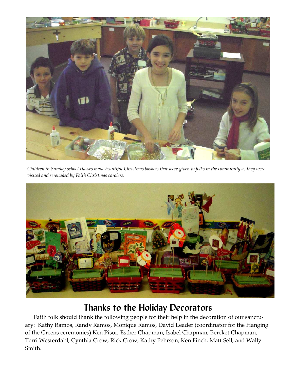

Children in Sunday school classes made beautiful Christmas baskets that were given to folks in the community as they were visited and serenaded by Faith Christmas carolers.



### Thanks to the Holiday Decorators

Faith folk should thank the following people for their help in the decoration of our sanctuary: Kathy Ramos, Randy Ramos, Monique Ramos, David Leader (coordinator for the Hanging of the Greens ceremonies) Ken Pisor, Esther Chapman, Isabel Chapman, Bereket Chapman, Terri Westerdahl, Cynthia Crow, Rick Crow, Kathy Pehrson, Ken Finch, Matt Sell, and Wally Smith.